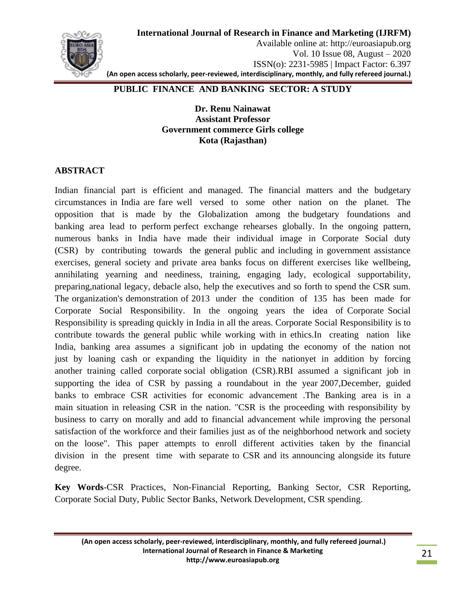

Available online at: http://euroasiapub.org Vol. 10 Issue 08, August – 2020 ISSN(o): 2231-5985 | Impact Factor: 6.397 **(An open access scholarly, peer-reviewed, interdisciplinary, monthly, and fully refereed journal.)**

### **PUBLIC FINANCE AND BANKING SECTOR: A STUDY**

**Dr. Renu Nainawat Assistant Professor Government commerce Girls college Kota (Rajasthan)**

### **ABSTRACT**

Indian financial part is efficient and managed. The financial matters and the budgetary circumstances in India are fare well versed to some other nation on the planet. The opposition that is made by the Globalization among the budgetary foundations and banking area lead to perform perfect exchange rehearses globally. In the ongoing pattern, numerous banks in India have made their individual image in Corporate Social duty (CSR) by contributing towards the general public and including in government assistance exercises, general society and private area banks focus on different exercises like wellbeing, annihilating yearning and neediness, training, engaging lady, ecological supportability, preparing,national legacy, debacle also, help the executives and so forth to spend the CSR sum. The organization's demonstration of 2013 under the condition of 135 has been made for Corporate Social Responsibility. In the ongoing years the idea of Corporate Social Responsibility is spreading quickly in India in all the areas. Corporate Social Responsibility is to contribute towards the general public while working with in ethics.In creating nation like India, banking area assumes a significant job in updating the economy of the nation not just by loaning cash or expanding the liquidity in the nationyet in addition by forcing another training called corporate social obligation (CSR).RBI assumed a significant job in supporting the idea of CSR by passing a roundabout in the year 2007,December, guided banks to embrace CSR activities for economic advancement .The Banking area is in a main situation in releasing CSR in the nation. "CSR is the proceeding with responsibility by business to carry on morally and add to financial advancement while improving the personal satisfaction of the workforce and their families just as of the neighborhood network and society on the loose". This paper attempts to enroll different activities taken by the financial division in the present time with separate to CSR and its announcing alongside its future degree.

**Key Words**-CSR Practices, Non-Financial Reporting, Banking Sector, CSR Reporting, Corporate Social Duty, Public Sector Banks, Network Development, CSR spending.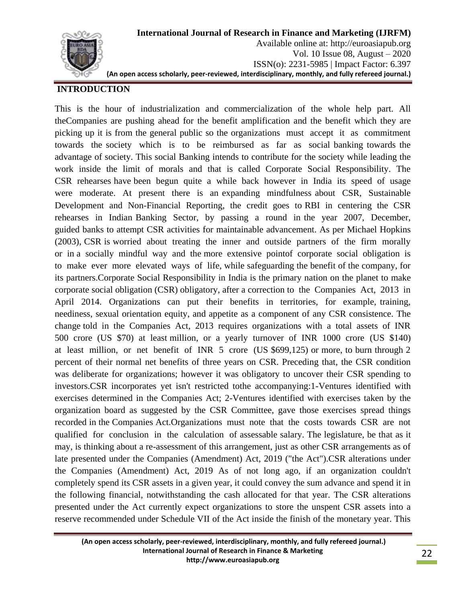

### **INTRODUCTION**

This is the hour of industrialization and commercialization of the whole help part. All theCompanies are pushing ahead for the benefit amplification and the benefit which they are picking up it is from the general public so the organizations must accept it as commitment towards the society which is to be reimbursed as far as social banking towards the advantage of society. This social Banking intends to contribute for the society while leading the work inside the limit of morals and that is called Corporate Social Responsibility. The CSR rehearses have been begun quite a while back however in India its speed of usage were moderate. At present there is an expanding mindfulness about CSR, Sustainable Development and Non-Financial Reporting, the credit goes to RBI in centering the CSR rehearses in Indian Banking Sector, by passing a round in the year 2007, December, guided banks to attempt CSR activities for maintainable advancement. As per Michael Hopkins (2003), CSR is worried about treating the inner and outside partners of the firm morally or in a socially mindful way and the more extensive pointof corporate social obligation is to make ever more elevated ways of life, while safeguarding the benefit of the company, for its partners.Corporate Social Responsibility in India is the primary nation on the planet to make corporate social obligation (CSR) obligatory, after a correction to the Companies Act, 2013 in April 2014. Organizations can put their benefits in territories, for example, training, neediness, sexual orientation equity, and appetite as a component of any CSR consistence. The change told in the Companies Act, 2013 requires organizations with a total assets of INR 500 crore (US \$70) at least million, or a yearly turnover of INR 1000 crore (US \$140) at least million, or net benefit of INR 5 crore (US \$699,125) or more, to burn through 2 percent of their normal net benefits of three years on CSR. Preceding that, the CSR condition was deliberate for organizations; however it was obligatory to uncover their CSR spending to investors.CSR incorporates yet isn't restricted tothe accompanying:1-Ventures identified with exercises determined in the Companies Act; 2-Ventures identified with exercises taken by the organization board as suggested by the CSR Committee, gave those exercises spread things recorded in the Companies Act.Organizations must note that the costs towards CSR are not qualified for conclusion in the calculation of assessable salary. The legislature, be that as it may, is thinking about a re-assessment of this arrangement, just as other CSR arrangements as of late presented under the Companies (Amendment) Act, 2019 ("the Act").CSR alterations under the Companies (Amendment) Act, 2019 As of not long ago, if an organization couldn't completely spend its CSR assets in a given year, it could convey the sum advance and spend it in the following financial, notwithstanding the cash allocated for that year. The CSR alterations presented under the Act currently expect organizations to store the unspent CSR assets into a reserve recommended under Schedule VII of the Act inside the finish of the monetary year. This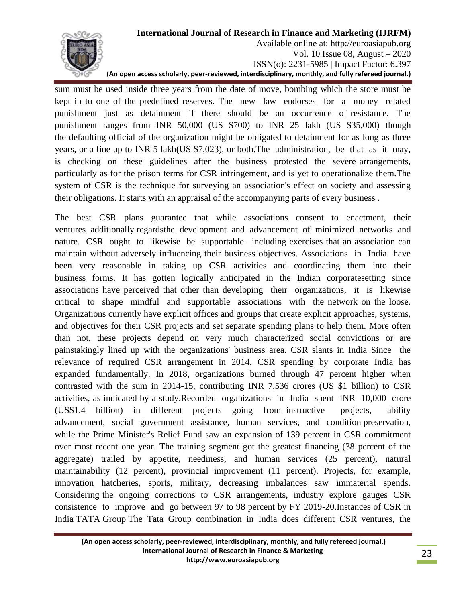

Available online at: http://euroasiapub.org Vol. 10 Issue 08, August – 2020 ISSN(o): 2231-5985 | Impact Factor: 6.397 **(An open access scholarly, peer-reviewed, interdisciplinary, monthly, and fully refereed journal.)**

sum must be used inside three years from the date of move, bombing which the store must be kept in to one of the predefined reserves. The new law endorses for a money related punishment just as detainment if there should be an occurrence of resistance. The punishment ranges from INR 50,000 (US \$700) to INR 25 lakh (US \$35,000) though the defaulting official of the organization might be obligated to detainment for as long as three years, or a fine up to INR 5 lakh(US \$7,023), or both.The administration, be that as it may, is checking on these guidelines after the business protested the severe arrangements, particularly as for the prison terms for CSR infringement, and is yet to operationalize them.The system of CSR is the technique for surveying an association's effect on society and assessing their obligations. It starts with an appraisal of the accompanying parts of every business .

The best CSR plans guarantee that while associations consent to enactment, their ventures additionally regardsthe development and advancement of minimized networks and nature. CSR ought to likewise be supportable –including exercises that an association can maintain without adversely influencing their business objectives. Associations in India have been very reasonable in taking up CSR activities and coordinating them into their business forms. It has gotten logically anticipated in the Indian corporatesetting since associations have perceived that other than developing their organizations, it is likewise critical to shape mindful and supportable associations with the network on the loose. Organizations currently have explicit offices and groups that create explicit approaches, systems, and objectives for their CSR projects and set separate spending plans to help them. More often than not, these projects depend on very much characterized social convictions or are painstakingly lined up with the organizations' business area. CSR slants in India Since the relevance of required CSR arrangement in 2014, CSR spending by corporate India has expanded fundamentally. In 2018, organizations burned through 47 percent higher when contrasted with the sum in 2014-15, contributing INR 7,536 crores (US \$1 billion) to CSR activities, as indicated by a study.Recorded organizations in India spent INR 10,000 crore (US\$1.4 billion) in different projects going from instructive projects, ability advancement, social government assistance, human services, and condition preservation, while the Prime Minister's Relief Fund saw an expansion of 139 percent in CSR commitment over most recent one year. The training segment got the greatest financing (38 percent of the aggregate) trailed by appetite, neediness, and human services (25 percent), natural maintainability (12 percent), provincial improvement (11 percent). Projects, for example, innovation hatcheries, sports, military, decreasing imbalances saw immaterial spends. Considering the ongoing corrections to CSR arrangements, industry explore gauges CSR consistence to improve and go between 97 to 98 percent by FY 2019-20.Instances of CSR in India TATA Group The Tata Group combination in India does different CSR ventures, the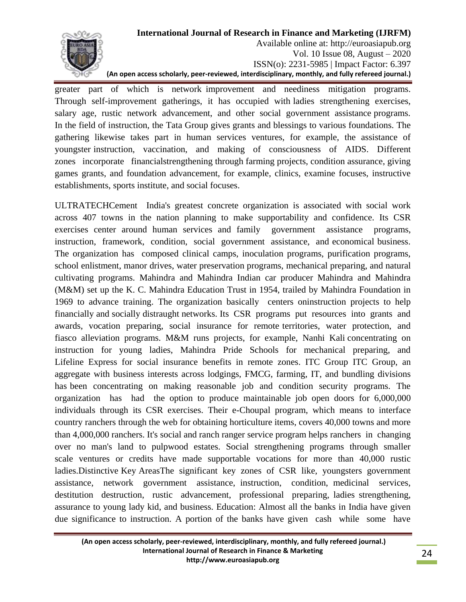

Available online at: http://euroasiapub.org Vol. 10 Issue 08, August – 2020 ISSN(o): 2231-5985 | Impact Factor: 6.397 **(An open access scholarly, peer-reviewed, interdisciplinary, monthly, and fully refereed journal.)**

greater part of which is network improvement and neediness mitigation programs. Through self-improvement gatherings, it has occupied with ladies strengthening exercises, salary age, rustic network advancement, and other social government assistance programs. In the field of instruction, the Tata Group gives grants and blessings to various foundations. The gathering likewise takes part in human services ventures, for example, the assistance of youngster instruction, vaccination, and making of consciousness of AIDS. Different zones incorporate financialstrengthening through farming projects, condition assurance, giving games grants, and foundation advancement, for example, clinics, examine focuses, instructive establishments, sports institute, and social focuses.

ULTRATECHCement India's greatest concrete organization is associated with social work across 407 towns in the nation planning to make supportability and confidence. Its CSR exercises center around human services and family government assistance programs, instruction, framework, condition, social government assistance, and economical business. The organization has composed clinical camps, inoculation programs, purification programs, school enlistment, manor drives, water preservation programs, mechanical preparing, and natural cultivating programs. Mahindra and Mahindra Indian car producer Mahindra and Mahindra (M&M) set up the K. C. Mahindra Education Trust in 1954, trailed by Mahindra Foundation in 1969 to advance training. The organization basically centers oninstruction projects to help financially and socially distraught networks. Its CSR programs put resources into grants and awards, vocation preparing, social insurance for remote territories, water protection, and fiasco alleviation programs. M&M runs projects, for example, Nanhi Kali concentrating on instruction for young ladies, Mahindra Pride Schools for mechanical preparing, and Lifeline Express for social insurance benefits in remote zones. ITC Group ITC Group, an aggregate with business interests across lodgings, FMCG, farming, IT, and bundling divisions has been concentrating on making reasonable job and condition security programs. The organization has had the option to produce maintainable job open doors for 6,000,000 individuals through its CSR exercises. Their e-Choupal program, which means to interface country ranchers through the web for obtaining horticulture items, covers 40,000 towns and more than 4,000,000 ranchers. It's social and ranch ranger service program helps ranchers in changing over no man's land to pulpwood estates. Social strengthening programs through smaller scale ventures or credits have made supportable vocations for more than 40,000 rustic ladies.Distinctive Key AreasThe significant key zones of CSR like, youngsters government assistance, network government assistance, instruction, condition, medicinal services, destitution destruction, rustic advancement, professional preparing, ladies strengthening, assurance to young lady kid, and business. Education: Almost all the banks in India have given due significance to instruction. A portion of the banks have given cash while some have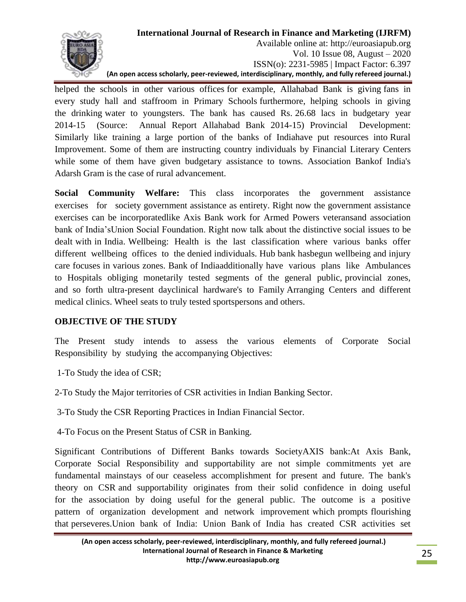

Available online at: http://euroasiapub.org Vol. 10 Issue 08, August – 2020 ISSN(o): 2231-5985 | Impact Factor: 6.397 **(An open access scholarly, peer-reviewed, interdisciplinary, monthly, and fully refereed journal.)**

helped the schools in other various offices for example, Allahabad Bank is giving fans in every study hall and staffroom in Primary Schools furthermore, helping schools in giving the drinking water to youngsters. The bank has caused Rs. 26.68 lacs in budgetary year 2014-15 (Source: Annual Report Allahabad Bank 2014-15) Provincial Development: Similarly like training a large portion of the banks of Indiahave put resources into Rural Improvement. Some of them are instructing country individuals by Financial Literary Centers while some of them have given budgetary assistance to towns. Association Bankof India's Adarsh Gram is the case of rural advancement.

**Social Community Welfare:** This class incorporates the government assistance exercises for society government assistance as entirety. Right now the government assistance exercises can be incorporatedlike Axis Bank work for Armed Powers veteransand association bank of India'sUnion Social Foundation. Right now talk about the distinctive social issues to be dealt with in India. Wellbeing: Health is the last classification where various banks offer different wellbeing offices to the denied individuals. Hub bank hasbegun wellbeing and injury care focuses in various zones. Bank of Indiaadditionally have various plans like Ambulances to Hospitals obliging monetarily tested segments of the general public, provincial zones, and so forth ultra-present dayclinical hardware's to Family Arranging Centers and different medical clinics. Wheel seats to truly tested sportspersons and others.

### **OBJECTIVE OF THE STUDY**

The Present study intends to assess the various elements of Corporate Social Responsibility by studying the accompanying Objectives:

- 1-To Study the idea of CSR;
- 2-To Study the Major territories of CSR activities in Indian Banking Sector.
- 3-To Study the CSR Reporting Practices in Indian Financial Sector.
- 4-To Focus on the Present Status of CSR in Banking.

Significant Contributions of Different Banks towards SocietyAXIS bank:At Axis Bank, Corporate Social Responsibility and supportability are not simple commitments yet are fundamental mainstays of our ceaseless accomplishment for present and future. The bank's theory on CSR and supportability originates from their solid confidence in doing useful for the association by doing useful for the general public. The outcome is a positive pattern of organization development and network improvement which prompts flourishing that perseveres.Union bank of India: Union Bank of India has created CSR activities set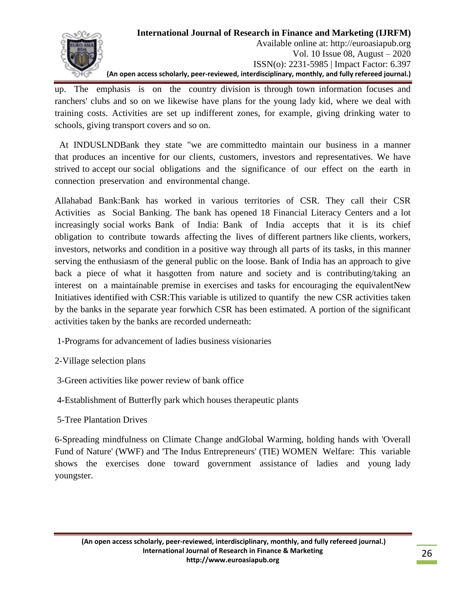

Available online at: http://euroasiapub.org Vol. 10 Issue 08, August – 2020 ISSN(o): 2231-5985 | Impact Factor: 6.397 **(An open access scholarly, peer-reviewed, interdisciplinary, monthly, and fully refereed journal.)**

up. The emphasis is on the country division is through town information focuses and ranchers' clubs and so on we likewise have plans for the young lady kid, where we deal with training costs. Activities are set up indifferent zones, for example, giving drinking water to schools, giving transport covers and so on.

 At INDUSLNDBank they state "we are committedto maintain our business in a manner that produces an incentive for our clients, customers, investors and representatives. We have strived to accept our social obligations and the significance of our effect on the earth in connection preservation and environmental change.

Allahabad Bank:Bank has worked in various territories of CSR. They call their CSR Activities as Social Banking. The bank has opened 18 Financial Literacy Centers and a lot increasingly social works Bank of India: Bank of India accepts that it is its chief obligation to contribute towards affecting the lives of different partners like clients, workers, investors, networks and condition in a positive way through all parts of its tasks, in this manner serving the enthusiasm of the general public on the loose. Bank of India has an approach to give back a piece of what it hasgotten from nature and society and is contributing/taking an interest on a maintainable premise in exercises and tasks for encouraging the equivalentNew Initiatives identified with CSR:This variable is utilized to quantify the new CSR activities taken by the banks in the separate year forwhich CSR has been estimated. A portion of the significant activities taken by the banks are recorded underneath:

- 1-Programs for advancement of ladies business visionaries
- 2-Village selection plans
- 3-Green activities like power review of bank office
- 4-Establishment of Butterfly park which houses therapeutic plants
- 5-Tree Plantation Drives

6-Spreading mindfulness on Climate Change andGlobal Warming, holding hands with 'Overall Fund of Nature' (WWF) and 'The Indus Entrepreneurs' (TIE) WOMEN Welfare: This variable shows the exercises done toward government assistance of ladies and young lady youngster.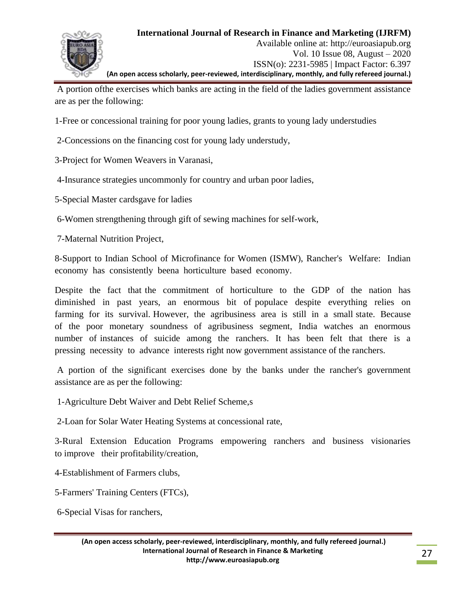

A portion ofthe exercises which banks are acting in the field of the ladies government assistance are as per the following:

- 1-Free or concessional training for poor young ladies, grants to young lady understudies
- 2-Concessions on the financing cost for young lady understudy,
- 3-Project for Women Weavers in Varanasi,
- 4-Insurance strategies uncommonly for country and urban poor ladies,
- 5-Special Master cardsgave for ladies
- 6-Women strengthening through gift of sewing machines for self-work,
- 7-Maternal Nutrition Project,

8-Support to Indian School of Microfinance for Women (ISMW), Rancher's Welfare: Indian economy has consistently beena horticulture based economy.

Despite the fact that the commitment of horticulture to the GDP of the nation has diminished in past years, an enormous bit of populace despite everything relies on farming for its survival. However, the agribusiness area is still in a small state. Because of the poor monetary soundness of agribusiness segment, India watches an enormous number of instances of suicide among the ranchers. It has been felt that there is a pressing necessity to advance interests right now government assistance of the ranchers.

A portion of the significant exercises done by the banks under the rancher's government assistance are as per the following:

1-Agriculture Debt Waiver and Debt Relief Scheme,s

2-Loan for Solar Water Heating Systems at concessional rate,

3-Rural Extension Education Programs empowering ranchers and business visionaries to improve their profitability/creation,

- 4-Establishment of Farmers clubs,
- 5-Farmers' Training Centers (FTCs),

6-Special Visas for ranchers,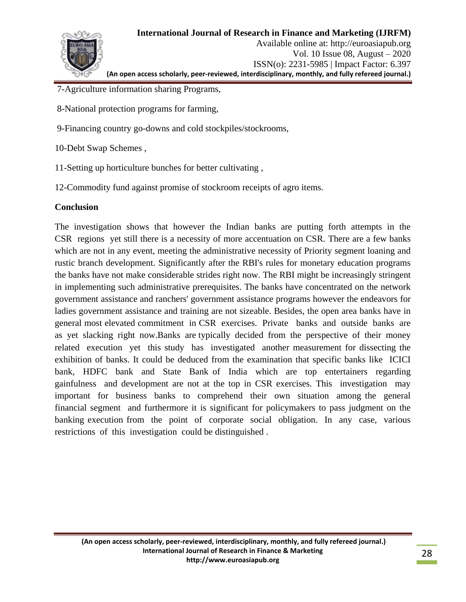

- 7-Agriculture information sharing Programs,
- 8-National protection programs for farming,
- 9-Financing country go-downs and cold stockpiles/stockrooms,
- 10-Debt Swap Schemes ,
- 11-Setting up horticulture bunches for better cultivating ,
- 12-Commodity fund against promise of stockroom receipts of agro items.

### **Conclusion**

The investigation shows that however the Indian banks are putting forth attempts in the CSR regions yet still there is a necessity of more accentuation on CSR. There are a few banks which are not in any event, meeting the administrative necessity of Priority segment loaning and rustic branch development. Significantly after the RBI's rules for monetary education programs the banks have not make considerable strides right now. The RBI might be increasingly stringent in implementing such administrative prerequisites. The banks have concentrated on the network government assistance and ranchers' government assistance programs however the endeavors for ladies government assistance and training are not sizeable. Besides, the open area banks have in general most elevated commitment in CSR exercises. Private banks and outside banks are as yet slacking right now.Banks are typically decided from the perspective of their money related execution yet this study has investigated another measurement for dissecting the exhibition of banks. It could be deduced from the examination that specific banks like ICICI bank, HDFC bank and State Bank of India which are top entertainers regarding gainfulness and development are not at the top in CSR exercises. This investigation may important for business banks to comprehend their own situation among the general financial segment and furthermore it is significant for policymakers to pass judgment on the banking execution from the point of corporate social obligation. In any case, various restrictions of this investigation could be distinguished .